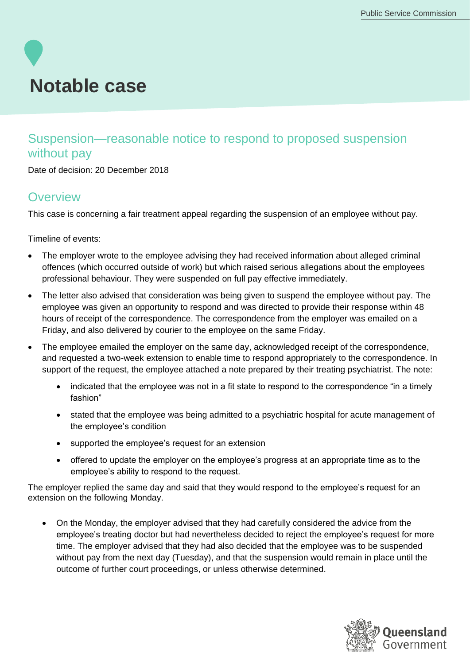# **Notable case**

## Suspension—reasonable notice to respond to proposed suspension without pay

Date of decision: 20 December 2018

### **Overview**

This case is concerning a fair treatment appeal regarding the suspension of an employee without pay.

Timeline of events:

- The employer wrote to the employee advising they had received information about alleged criminal offences (which occurred outside of work) but which raised serious allegations about the employees professional behaviour. They were suspended on full pay effective immediately.
- The letter also advised that consideration was being given to suspend the employee without pay. The employee was given an opportunity to respond and was directed to provide their response within 48 hours of receipt of the correspondence. The correspondence from the employer was emailed on a Friday, and also delivered by courier to the employee on the same Friday.
- The employee emailed the employer on the same day, acknowledged receipt of the correspondence, and requested a two-week extension to enable time to respond appropriately to the correspondence. In support of the request, the employee attached a note prepared by their treating psychiatrist. The note:
	- indicated that the employee was not in a fit state to respond to the correspondence "in a timely fashion"
	- stated that the employee was being admitted to a psychiatric hospital for acute management of the employee's condition
	- supported the employee's request for an extension
	- offered to update the employer on the employee's progress at an appropriate time as to the employee's ability to respond to the request.

The employer replied the same day and said that they would respond to the employee's request for an extension on the following Monday.

• On the Monday, the employer advised that they had carefully considered the advice from the employee's treating doctor but had nevertheless decided to reject the employee's request for more time. The employer advised that they had also decided that the employee was to be suspended without pay from the next day (Tuesday), and that the suspension would remain in place until the outcome of further court proceedings, or unless otherwise determined.